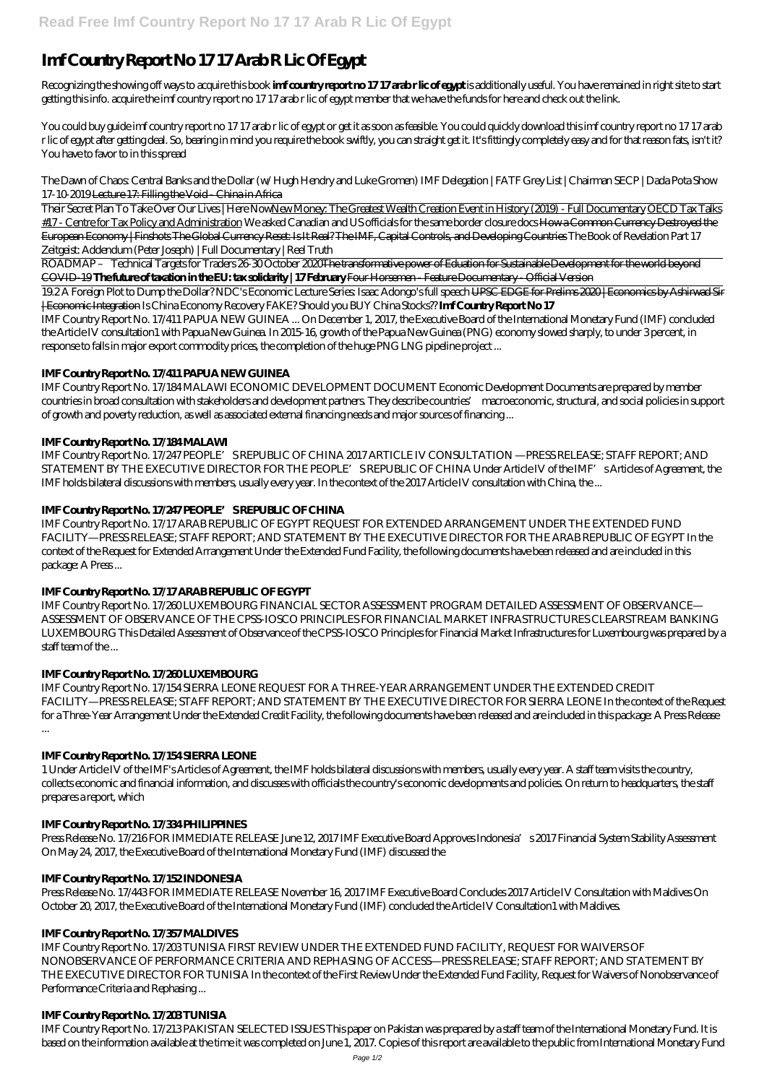# **Imf Country Report No 17 17 Arab R Lic Of Egypt**

Recognizing the showing off ways to acquire this book **imf country report no 17 17 arab r lic of egypt** is additionally useful. You have remained in right site to start getting this info. acquire the imf country report no 17 17 arab r lic of egypt member that we have the funds for here and check out the link.

You could buy guide imf country report no 17 17 arab r lic of egypt or get it as soon as feasible. You could quickly download this imf country report no 17 17 arab r lic of egypt after getting deal. So, bearing in mind you require the book swiftly, you can straight get it. It's fittingly completely easy and for that reason fats, isn't it? You have to favor to in this spread

*The Dawn of Chaos: Central Banks and the Dollar (w/ Hugh Hendry and Luke Gromen) IMF Delegation | FATF Grey List | Chairman SECP | Dada Pota Show 17-10-2019* Lecture 17: Filling the Void - China in Africa

Their Secret Plan To Take Over Our Lives | Here NowNew Money: The Greatest Wealth Creation Event in History (2019) - Full Documentary OECD Tax Talks #17 - Centre for Tax Policy and Administration *We asked Canadian and US officials for the same border closure docs* How a Common Currency Destroyed the European Economy | Finshots The Global Currency Reset: Is It Real? The IMF, Capital Controls, and Developing Countries *The Book of Revelation Part 17* Zeitgeist: Addendum (Peter Joseph) | Full Documentary | Reel Truth

ROADMAP – Technical Targets for Traders 26-30 October 2020The transformative power of Eduation for Sustainable Development for the world beyond COVID-19 **The future of taxation in the EU: tax solidarity | 17 February** Four Horsemen - Feature Documentary - Official Version

IMF Country Report No. 17/247 PEOPLE'S REPUBLIC OF CHINA 2017 ARTICLE IV CONSULTATION —PRESS RELEASE; STAFF REPORT; AND STATEMENT BY THE EXECUTIVE DIRECTOR FOR THE PEOPLE" SREPUBLIC OF CHINA Under Article IV of the IMF" sArticles of Agreement, the IMF holds bilateral discussions with members, usually every year. In the context of the 2017 Article IV consultation with China, the ...

19.2 A Foreign Plot to Dump the Dollar? NDC's Economic Lecture Series: Isaac Adongo's full speech UPSC EDGE for Prelims 2020 | Economics by Ashirwad Sir | Economic Integration *Is China Economy Recovery FAKE? Should you BUY China Stocks??* **Imf Country Report No 17**

IMF Country Report No. 17/411 PAPUA NEW GUINEA ... On December 1, 2017, the Executive Board of the International Monetary Fund (IMF) concluded the Article IV consultation1 with Papua New Guinea. In 2015-16, growth of the Papua New Guinea (PNG) economy slowed sharply, to under 3 percent, in response to falls in major export commodity prices, the completion of the huge PNG LNG pipeline project ...

## **IMF Country Report No. 17/411 PAPUA NEW GUINEA**

Press Release No. 17/216 FOR IMMEDIATE RELEASE June 12, 2017 IMF Executive Board Approves Indonesia's 2017 Financial System Stability Assessment On May 24, 2017, the Executive Board of the International Monetary Fund (IMF) discussed the

IMF Country Report No. 17/184 MALAWI ECONOMIC DEVELOPMENT DOCUMENT Economic Development Documents are prepared by member countries in broad consultation with stakeholders and development partners. They describe countries' macroeconomic, structural, and social policies in support of growth and poverty reduction, as well as associated external financing needs and major sources of financing ...

## **IMF Country Report No. 17/184 MALAWI**

## **IMF Country Report No. 17/247 PEOPLE'S REPUBLIC OF CHINA**

IMF Country Report No. 17/17 ARAB REPUBLIC OF EGYPT REQUEST FOR EXTENDED ARRANGEMENT UNDER THE EXTENDED FUND FACILITY—PRESS RELEASE; STAFF REPORT; AND STATEMENT BY THE EXECUTIVE DIRECTOR FOR THE ARAB REPUBLIC OF EGYPT In the context of the Request for Extended Arrangement Under the Extended Fund Facility, the following documents have been released and are included in this package: A Press ...

## **IMF Country Report No. 17/17 ARAB REPUBLIC OF EGYPT**

IMF Country Report No. 17/260 LUXEMBOURG FINANCIAL SECTOR ASSESSMENT PROGRAM DETAILED ASSESSMENT OF OBSERVANCE— ASSESSMENT OF OBSERVANCE OF THE CPSS-IOSCO PRINCIPLES FOR FINANCIAL MARKET INFRASTRUCTURES CLEARSTREAM BANKING LUXEMBOURG This Detailed Assessment of Observance of the CPSS-IOSCO Principles for Financial Market Infrastructures for Luxembourg was prepared by a staff team of the ...

# **IMF Country Report No. 17/260 LUXEMBOURG**

IMF Country Report No. 17/154 SIERRA LEONE REQUEST FOR A THREE-YEAR ARRANGEMENT UNDER THE EXTENDED CREDIT FACILITY—PRESS RELEASE; STAFF REPORT; AND STATEMENT BY THE EXECUTIVE DIRECTOR FOR SIERRA LEONE In the context of the Request for a Three-Year Arrangement Under the Extended Credit Facility, the following documents have been released and are included in this package: A Press Release ...

## **IMF Country Report No. 17/154 SIERRA LEONE**

1 Under Article IV of the IMF's Articles of Agreement, the IMF holds bilateral discussions with members, usually every year. A staff team visits the country, collects economic and financial information, and discusses with officials the country's economic developments and policies. On return to headquarters, the staff prepares a report, which

#### **IMF Country Report No. 17/334 PHILIPPINES**

#### **IMF Country Report No. 17/152 INDONESIA**

Press Release No. 17/443 FOR IMMEDIATE RELEASE November 16, 2017 IMF Executive Board Concludes 2017 Article IV Consultation with Maldives On October 20, 2017, the Executive Board of the International Monetary Fund (IMF) concluded the Article IV Consultation1 with Maldives.

#### **IMF Country Report No. 17/357 MALDIVES**

IMF Country Report No. 17/203 TUNISIA FIRST REVIEW UNDER THE EXTENDED FUND FACILITY, REQUEST FOR WAIVERS OF NONOBSERVANCE OF PERFORMANCE CRITERIA AND REPHASING OF ACCESS—PRESS RELEASE; STAFF REPORT; AND STATEMENT BY THE EXECUTIVE DIRECTOR FOR TUNISIA In the context of the First Review Under the Extended Fund Facility, Request for Waivers of Nonobservance of Performance Criteria and Rephasing ...

#### **IMF Country Report No. 17/203 TUNISIA**

IMF Country Report No. 17/213 PAKISTAN SELECTED ISSUES This paper on Pakistan was prepared by a staff team of the International Monetary Fund. It is based on the information available at the time it was completed on June 1, 2017. Copies of this report are available to the public from International Monetary Fund